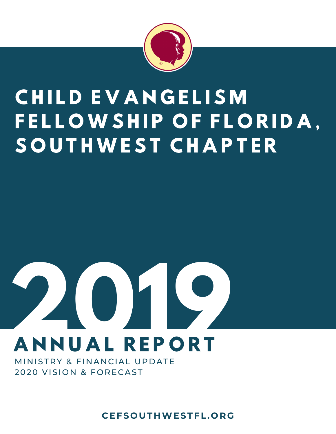

### CHILD EVANGELISM FELLOWSHIP OF FLORIDA, SOUTHWEST CHAPTER

### **2**<br>
ANNUAL REPORT **0 9**<br>PRT

MINISTRY & FINANCIAL UPDATE 2020 VISION & FORECAST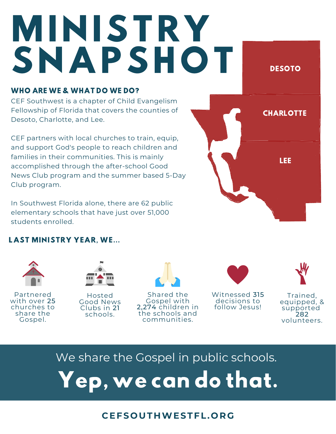# MINISTRY SNAPSHOT DESOTO

#### WHO ARE WE & WHAT DO WE DO?

CEF Southwest is a chapter of Child Evangelism Fellowship of Florida that covers the counties of Desoto, Charlotte, and Lee.

CEF partners with local churches to train, equip, and support God's people to reach children and families in their communities. This is mainly accomplished through the after-school Good News Club program and the summer based 5-Day Club program.

In Southwest Florida alone, there are 62 public elementary schools that have just over 51,000 students enrolled.

#### LAST MINISTRY YEAR, WE...



Partnered with over 25 churches to share the Gospel.



Hosted Good News Clubs in 21 schools.



Shared the Gospel with 2,274 children in the schools and communities.



Witnessed 315 decisions to follow Jesus!



**CHARLOTTE** 

LEE

Trained, equipped, & supported 282 volunteers.

#### We share the Gospel in public schools.

Yep,wecan dothat.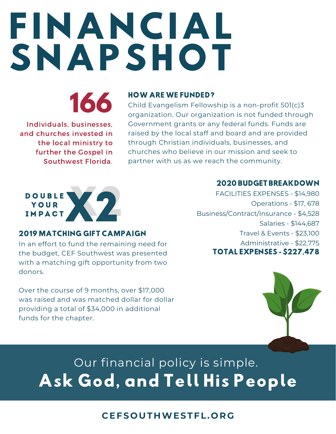## FINANCIAL SNAPSHOT



Individuals, businesses, and churches invested in the local ministry to further the Gospel in Southwest Florida.

#### HOW ARE WE FUNDED?

Child Evangelism Fellowship is a non-profit 501(c)3 organization. Our organization is not funded through Government grants or any federal funds. Funds are raised by the local staff and board and are provided through Christian individuals, businesses, and churches who believe in our mission and seek to partner with us as we reach the community.



#### 2019 MATCHING GIFT CAMPAIGN

In an effort to fund the remaining need for the budget, CEF Southwest was presented with a matching gift opportunity from two donors.

Over the course of 9 months, over \$17,000 was raised and was matched dollar for dollar providing a total of \$34,000 in additional funds for the chapter.

#### 2020 BUDGET BREAKDOWN

FACILITIES EXPENSES - \$14,980 Operations - \$17, 678 Business/Contract/Insurance - \$4,528 Salaries - \$144,687 Travel & Events - \$23,100 Administrative - \$22,775 TOTAL EXPENSES - \$227,478